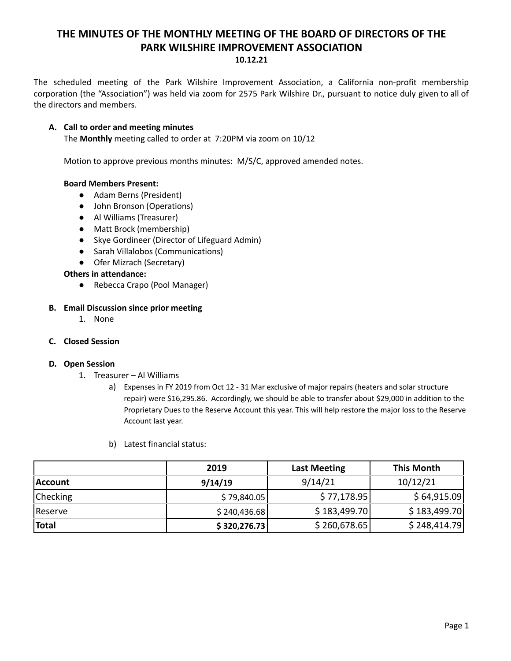# **THE MINUTES OF THE MONTHLY MEETING OF THE BOARD OF DIRECTORS OF THE PARK WILSHIRE IMPROVEMENT ASSOCIATION 10.12.21**

The scheduled meeting of the Park Wilshire Improvement Association, a California non-profit membership corporation (the "Association") was held via zoom for 2575 Park Wilshire Dr., pursuant to notice duly given to all of the directors and members.

## **A. Call to order and meeting minutes**

The **Monthly** meeting called to order at 7:20PM via zoom on 10/12

Motion to approve previous months minutes: M/S/C, approved amended notes.

## **Board Members Present:**

- Adam Berns (President)
- John Bronson (Operations)
- **●** Al Williams (Treasurer)
- Matt Brock (membership)
- Skye Gordineer (Director of Lifeguard Admin)
- Sarah Villalobos (Communications)
- Ofer Mizrach (Secretary)

**Others in attendance:**

● Rebecca Crapo (Pool Manager)

# **B. Email Discussion since prior meeting**

1. None

## **C. Closed Session**

## **D. Open Session**

- 1. Treasurer Al Williams
	- a) Expenses in FY 2019 from Oct 12 31 Mar exclusive of major repairs (heaters and solar structure repair) were \$16,295.86. Accordingly, we should be able to transfer about \$29,000 in addition to the Proprietary Dues to the Reserve Account this year. This will help restore the major loss to the Reserve Account last year.
	- b) Latest financial status:

|                 | 2019         | <b>Last Meeting</b> | <b>This Month</b> |
|-----------------|--------------|---------------------|-------------------|
| <b>Account</b>  | 9/14/19      | 9/14/21             | 10/12/21          |
| <b>Checking</b> | \$79,840.05  | \$77,178.95         | \$64,915.09       |
| Reserve         | \$240,436.68 | \$183,499.70        | \$183,499.70      |
| <b>Total</b>    | \$320,276.73 | \$260,678.65        | \$248,414.79      |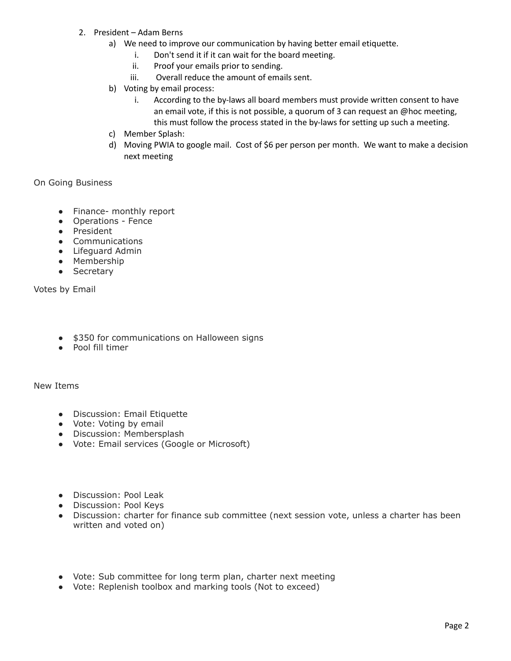- 2. President Adam Berns
	- a) We need to improve our communication by having better email etiquette.
		- i. Don't send it if it can wait for the board meeting.
		- ii. Proof your emails prior to sending.
		- iii. Overall reduce the amount of emails sent.
	- b) Voting by email process:
		- i. According to the by-laws all board members must provide written consent to have an email vote, if this is not possible, a quorum of 3 can request an @hoc meeting, this must follow the process stated in the by-laws for setting up such a meeting.
	- c) Member Splash:
	- d) Moving PWIA to google mail. Cost of \$6 per person per month. We want to make a decision next meeting

On Going Business

- Finance- monthly report
- Operations Fence
- President
- Communications
- Lifeguard Admin
- Membership
- Secretary

Votes by Email

- \$350 for communications on Halloween signs
- Pool fill timer

New Items

- Discussion: Email Etiquette
- Vote: Voting by email
- Discussion: Membersplash
- Vote: Email services (Google or Microsoft)
- Discussion: Pool Leak
- Discussion: Pool Keys
- Discussion: charter for finance sub committee (next session vote, unless a charter has been written and voted on)
- Vote: Sub committee for long term plan, charter next meeting
- Vote: Replenish toolbox and marking tools (Not to exceed)